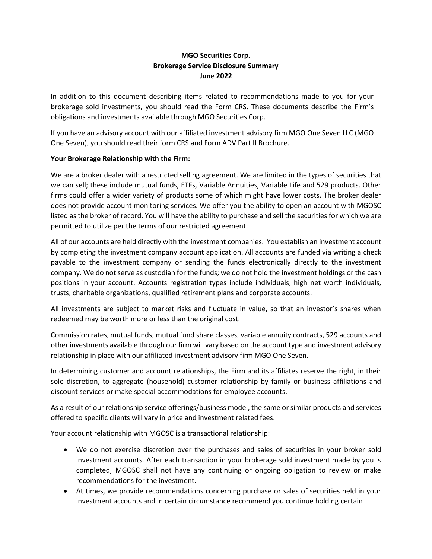# **MGO Securities Corp. Brokerage Service Disclosure Summary June 2022**

In addition to this document describing items related to recommendations made to you for your brokerage sold investments, you should read the Form CRS. These documents describe the Firm's obligations and investments available through MGO Securities Corp.

If you have an advisory account with our affiliated investment advisory firm MGO One Seven LLC (MGO One Seven), you should read their form CRS and Form ADV Part II Brochure.

# **Your Brokerage Relationship with the Firm:**

We are a broker dealer with a restricted selling agreement. We are limited in the types of securities that we can sell; these include mutual funds, ETFs, Variable Annuities, Variable Life and 529 products. Other firms could offer a wider variety of products some of which might have lower costs. The broker dealer does not provide account monitoring services. We offer you the ability to open an account with MGOSC listed as the broker of record. You will have the ability to purchase and sell the securities for which we are permitted to utilize per the terms of our restricted agreement.

All of our accounts are held directly with the investment companies. You establish an investment account by completing the investment company account application. All accounts are funded via writing a check payable to the investment company or sending the funds electronically directly to the investment company. We do not serve as custodian for the funds; we do not hold the investment holdings or the cash positions in your account. Accounts registration types include individuals, high net worth individuals, trusts, charitable organizations, qualified retirement plans and corporate accounts.

All investments are subject to market risks and fluctuate in value, so that an investor's shares when redeemed may be worth more or less than the original cost.

Commission rates, mutual funds, mutual fund share classes, variable annuity contracts, 529 accounts and other investments available through our firm will vary based on the account type and investment advisory relationship in place with our affiliated investment advisory firm MGO One Seven.

In determining customer and account relationships, the Firm and its affiliates reserve the right, in their sole discretion, to aggregate (household) customer relationship by family or business affiliations and discount services or make special accommodations for employee accounts.

As a result of our relationship service offerings/business model, the same or similar products and services offered to specific clients will vary in price and investment related fees.

Your account relationship with MGOSC is a transactional relationship:

- We do not exercise discretion over the purchases and sales of securities in your broker sold investment accounts. After each transaction in your brokerage sold investment made by you is completed, MGOSC shall not have any continuing or ongoing obligation to review or make recommendations for the investment.
- At times, we provide recommendations concerning purchase or sales of securities held in your investment accounts and in certain circumstance recommend you continue holding certain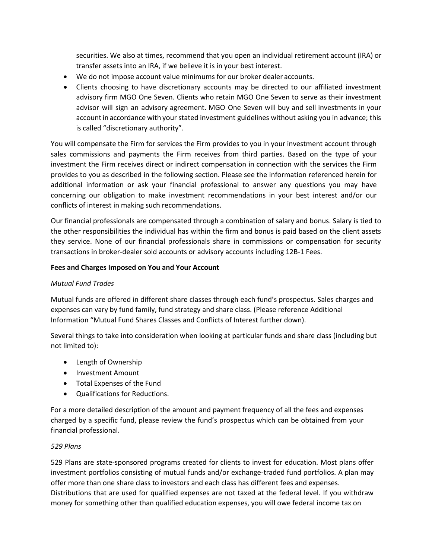securities. We also at times, recommend that you open an individual retirement account (IRA) or transfer assets into an IRA, if we believe it is in your best interest.

- We do not impose account value minimums for our broker dealer accounts.
- Clients choosing to have discretionary accounts may be directed to our affiliated investment advisory firm MGO One Seven. Clients who retain MGO One Seven to serve as their investment advisor will sign an advisory agreement. MGO One Seven will buy and sell investments in your account in accordance with your stated investment guidelines without asking you in advance; this is called "discretionary authority".

You will compensate the Firm for services the Firm provides to you in your investment account through sales commissions and payments the Firm receives from third parties. Based on the type of your investment the Firm receives direct or indirect compensation in connection with the services the Firm provides to you as described in the following section. Please see the information referenced herein for additional information or ask your financial professional to answer any questions you may have concerning our obligation to make investment recommendations in your best interest and/or our conflicts of interest in making such recommendations.

Our financial professionals are compensated through a combination of salary and bonus. Salary is tied to the other responsibilities the individual has within the firm and bonus is paid based on the client assets they service. None of our financial professionals share in commissions or compensation for security transactions in broker-dealer sold accounts or advisory accounts including 12B-1 Fees.

# **Fees and Charges Imposed on You and Your Account**

## *Mutual Fund Trades*

Mutual funds are offered in different share classes through each fund's prospectus. Sales charges and expenses can vary by fund family, fund strategy and share class. (Please reference Additional Information "Mutual Fund Shares Classes and Conflicts of Interest further down).

Several things to take into consideration when looking at particular funds and share class (including but not limited to):

- Length of Ownership
- Investment Amount
- Total Expenses of the Fund
- Qualifications for Reductions.

For a more detailed description of the amount and payment frequency of all the fees and expenses charged by a specific fund, please review the fund's prospectus which can be obtained from your financial professional.

## *529 Plans*

529 Plans are state-sponsored programs created for clients to invest for education. Most plans offer investment portfolios consisting of mutual funds and/or exchange-traded fund portfolios. A plan may offer more than one share class to investors and each class has different fees and expenses. Distributions that are used for qualified expenses are not taxed at the federal level. If you withdraw money for something other than qualified education expenses, you will owe federal income tax on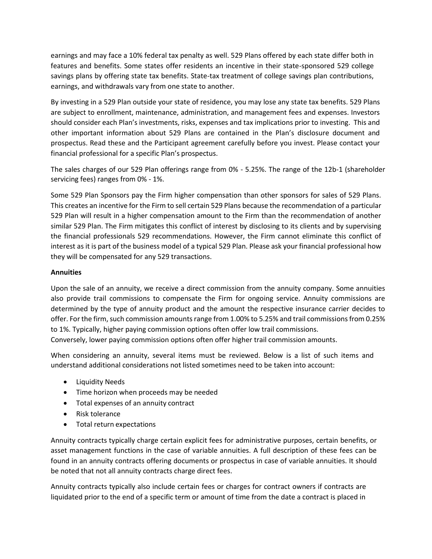earnings and may face a 10% federal tax penalty as well. 529 Plans offered by each state differ both in features and benefits. Some states offer residents an incentive in their state-sponsored 529 college savings plans by offering state tax benefits. State-tax treatment of college savings plan contributions, earnings, and withdrawals vary from one state to another.

By investing in a 529 Plan outside your state of residence, you may lose any state tax benefits. 529 Plans are subject to enrollment, maintenance, administration, and management fees and expenses. Investors should consider each Plan's investments, risks, expenses and tax implications prior to investing. This and other important information about 529 Plans are contained in the Plan's disclosure document and prospectus. Read these and the Participant agreement carefully before you invest. Please contact your financial professional for a specific Plan's prospectus.

The sales charges of our 529 Plan offerings range from 0% - 5.25%. The range of the 12b-1 (shareholder servicing fees) ranges from 0% - 1%.

Some 529 Plan Sponsors pay the Firm higher compensation than other sponsors for sales of 529 Plans. This creates an incentive for the Firm to sell certain 529 Plans because the recommendation of a particular 529 Plan will result in a higher compensation amount to the Firm than the recommendation of another similar 529 Plan. The Firm mitigates this conflict of interest by disclosing to its clients and by supervising the financial professionals 529 recommendations. However, the Firm cannot eliminate this conflict of interest as it is part of the business model of a typical 529 Plan. Please ask your financial professional how they will be compensated for any 529 transactions.

# **Annuities**

Upon the sale of an annuity, we receive a direct commission from the annuity company. Some annuities also provide trail commissions to compensate the Firm for ongoing service. Annuity commissions are determined by the type of annuity product and the amount the respective insurance carrier decides to offer. For the firm, such commission amounts range from 1.00% to 5.25% and trail commissions from 0.25% to 1%. Typically, higher paying commission options often offer low trail commissions. Conversely, lower paying commission options often offer higher trail commission amounts.

When considering an annuity, several items must be reviewed. Below is a list of such items and understand additional considerations not listed sometimes need to be taken into account:

- Liquidity Needs
- Time horizon when proceeds may be needed
- Total expenses of an annuity contract
- Risk tolerance
- Total return expectations

Annuity contracts typically charge certain explicit fees for administrative purposes, certain benefits, or asset management functions in the case of variable annuities. A full description of these fees can be found in an annuity contracts offering documents or prospectus in case of variable annuities. It should be noted that not all annuity contracts charge direct fees.

Annuity contracts typically also include certain fees or charges for contract owners if contracts are liquidated prior to the end of a specific term or amount of time from the date a contract is placed in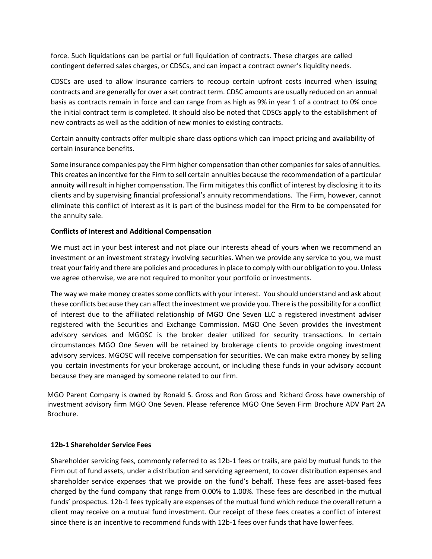force. Such liquidations can be partial or full liquidation of contracts. These charges are called contingent deferred sales charges, or CDSCs, and can impact a contract owner's liquidity needs.

CDSCs are used to allow insurance carriers to recoup certain upfront costs incurred when issuing contracts and are generally for over a set contract term. CDSC amounts are usually reduced on an annual basis as contracts remain in force and can range from as high as 9% in year 1 of a contract to 0% once the initial contract term is completed. It should also be noted that CDSCs apply to the establishment of new contracts as well as the addition of new monies to existing contracts.

Certain annuity contracts offer multiple share class options which can impact pricing and availability of certain insurance benefits.

Some insurance companies pay the Firm higher compensation than other companies for sales of annuities. This creates an incentive for the Firm to sell certain annuities because the recommendation of a particular annuity will result in higher compensation. The Firm mitigates this conflict of interest by disclosing it to its clients and by supervising financial professional's annuity recommendations. The Firm, however, cannot eliminate this conflict of interest as it is part of the business model for the Firm to be compensated for the annuity sale.

# **Conflicts of Interest and Additional Compensation**

We must act in your best interest and not place our interests ahead of yours when we recommend an investment or an investment strategy involving securities. When we provide any service to you, we must treat your fairly and there are policies and procedures in place to comply with our obligation to you. Unless we agree otherwise, we are not required to monitor your portfolio or investments.

The way we make money creates some conflicts with your interest. You should understand and ask about these conflicts because they can affect the investment we provide you. There is the possibility for a conflict of interest due to the affiliated relationship of MGO One Seven LLC a registered investment adviser registered with the Securities and Exchange Commission. MGO One Seven provides the investment advisory services and MGOSC is the broker dealer utilized for security transactions. In certain circumstances MGO One Seven will be retained by brokerage clients to provide ongoing investment advisory services. MGOSC will receive compensation for securities. We can make extra money by selling you certain investments for your brokerage account, or including these funds in your advisory account because they are managed by someone related to our firm.

MGO Parent Company is owned by Ronald S. Gross and Ron Gross and Richard Gross have ownership of investment advisory firm MGO One Seven. Please reference MGO One Seven Firm Brochure ADV Part 2A Brochure.

#### **12b-1 Shareholder Service Fees**

Shareholder servicing fees, commonly referred to as 12b-1 fees or trails, are paid by mutual funds to the Firm out of fund assets, under a distribution and servicing agreement, to cover distribution expenses and shareholder service expenses that we provide on the fund's behalf. These fees are asset-based fees charged by the fund company that range from 0.00% to 1.00%. These fees are described in the mutual funds' prospectus. 12b-1 fees typically are expenses of the mutual fund which reduce the overall return a client may receive on a mutual fund investment. Our receipt of these fees creates a conflict of interest since there is an incentive to recommend funds with 12b-1 fees over funds that have lowerfees.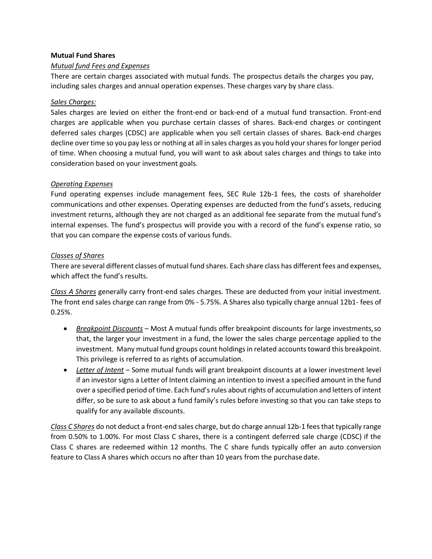## **Mutual Fund Shares**

# *Mutual fund Fees and Expenses*

There are certain charges associated with mutual funds. The prospectus details the charges you pay, including sales charges and annual operation expenses. These charges vary by share class.

## *Sales Charges:*

Sales charges are levied on either the front-end or back-end of a mutual fund transaction. Front-end charges are applicable when you purchase certain classes of shares. Back-end charges or contingent deferred sales charges (CDSC) are applicable when you sell certain classes of shares. Back-end charges decline over time so you pay less or nothing at all in sales charges as you hold yourshares for longer period of time. When choosing a mutual fund, you will want to ask about sales charges and things to take into consideration based on your investment goals.

# *Operating Expenses*

Fund operating expenses include management fees, SEC Rule 12b-1 fees, the costs of shareholder communications and other expenses. Operating expenses are deducted from the fund's assets, reducing investment returns, although they are not charged as an additional fee separate from the mutual fund's internal expenses. The fund's prospectus will provide you with a record of the fund's expense ratio, so that you can compare the expense costs of various funds.

# *Classes of Shares*

There are several different classes of mutual fund shares. Each share class has different fees and expenses, which affect the fund's results.

*Class A Shares* generally carry front-end sales charges. These are deducted from your initial investment. The front end sales charge can range from 0% - 5.75%. A Shares also typically charge annual 12b1- fees of 0.25%.

- *Breakpoint Discounts* Most A mutual funds offer breakpoint discounts for large investments,so that, the larger your investment in a fund, the lower the sales charge percentage applied to the investment. Many mutual fund groups count holdings in related accounts toward this breakpoint. This privilege is referred to as rights of accumulation.
- *Letter of Intent* Some mutual funds will grant breakpoint discounts at a lower investment level if an investor signs a Letter of Intent claiming an intention to invest a specified amount in the fund over a specified period of time. Each fund's rules about rights of accumulation and letters of intent differ, so be sure to ask about a fund family's rules before investing so that you can take steps to qualify for any available discounts.

*Class C Shares* do not deduct a front-end sales charge, but do charge annual 12b-1 feesthat typically range from 0.50% to 1.00%. For most Class C shares, there is a contingent deferred sale charge (CDSC) if the Class C shares are redeemed within 12 months. The C share funds typically offer an auto conversion feature to Class A shares which occurs no after than 10 years from the purchase date.